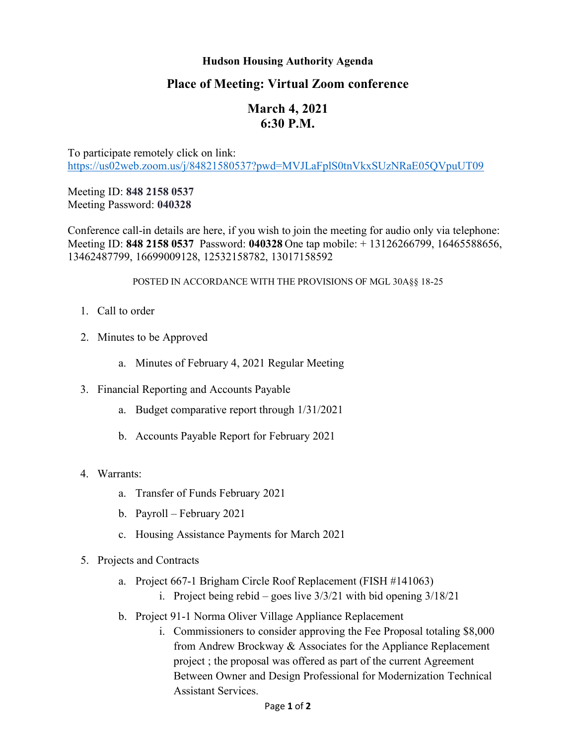## **Hudson Housing Authority Agenda**

## **Place of Meeting: Virtual Zoom conference**

## **March 4, 2021 6:30 P.M.**

To participate remotely click on link: <https://us02web.zoom.us/j/84821580537?pwd=MVJLaFplS0tnVkxSUzNRaE05QVpuUT09>

Meeting ID: **848 2158 0537** Meeting Password: **040328**

Conference call-in details are here, if you wish to join the meeting for audio only via telephone: Meeting ID: **848 2158 0537** Password: **040328** One tap mobile: + 13126266799, 16465588656, 13462487799, 16699009128, 12532158782, 13017158592

## POSTED IN ACCORDANCE WITH THE PROVISIONS OF MGL 30A§§ 18-25

- 1. Call to order
- 2. Minutes to be Approved
	- a. Minutes of February 4, 2021 Regular Meeting
- 3. Financial Reporting and Accounts Payable
	- a. Budget comparative report through 1/31/2021
	- b. Accounts Payable Report for February 2021
- 4. Warrants:
	- a. Transfer of Funds February 2021
	- b. Payroll February 2021
	- c. Housing Assistance Payments for March 2021
- 5. Projects and Contracts
	- a. Project 667-1 Brigham Circle Roof Replacement (FISH #141063)
		- i. Project being rebid goes live  $3/3/21$  with bid opening  $3/18/21$
	- b. Project 91-1 Norma Oliver Village Appliance Replacement
		- i. Commissioners to consider approving the Fee Proposal totaling \$8,000 from Andrew Brockway & Associates for the Appliance Replacement project ; the proposal was offered as part of the current Agreement Between Owner and Design Professional for Modernization Technical Assistant Services.